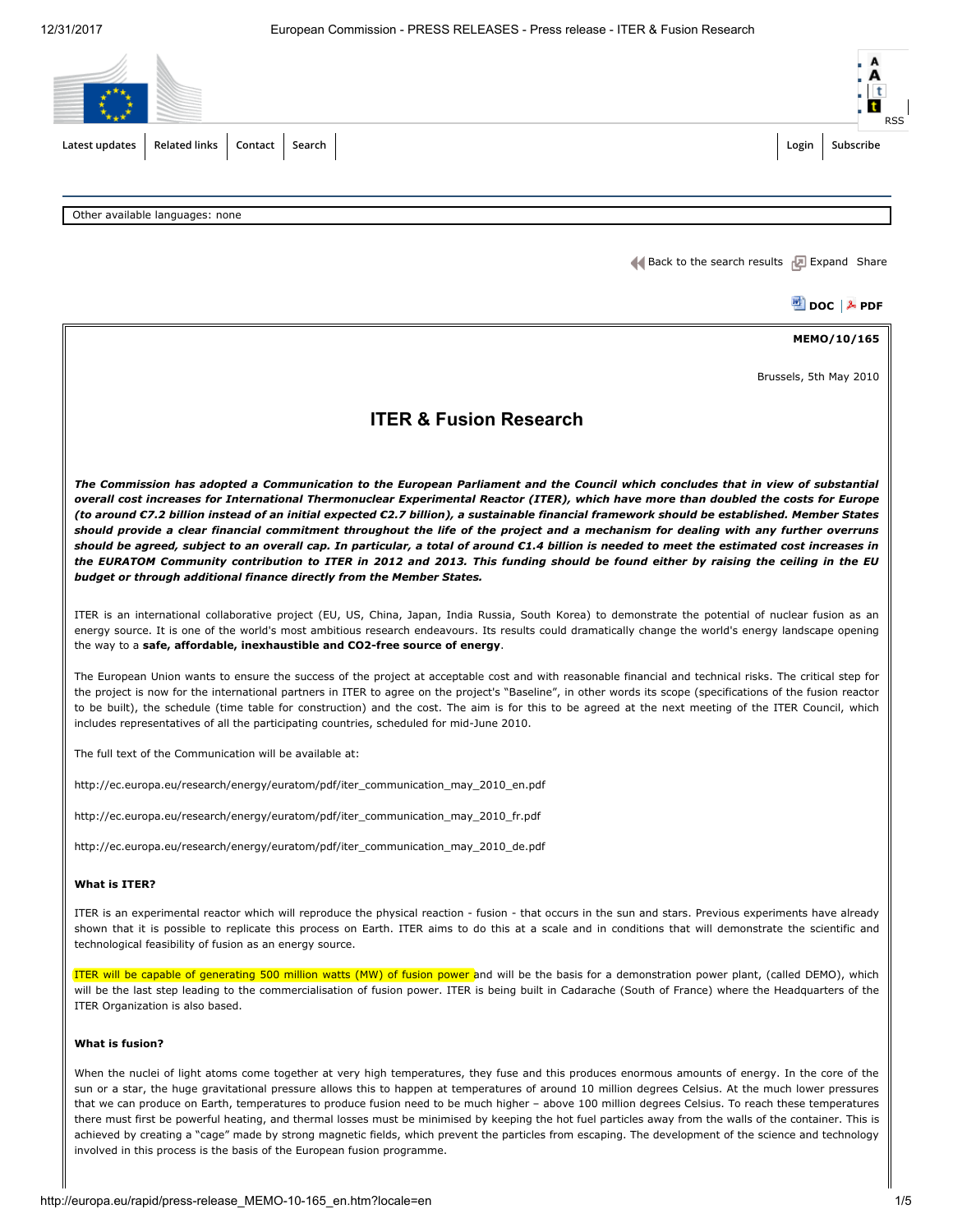

Other available languages: none

Back to the search [results](http://europa.eu/rapid/search-result.htm?locale=EN)  $\sqrt{2}$  [Expand](javascript:;) [Share](javascript:void(0))

凹 [DOC](http://europa.eu/rapid/press-release_MEMO-10-165_en.doc) | A [PDF](http://europa.eu/rapid/press-release_MEMO-10-165_en.pdf)

MEMO/10/165

Brussels, 5th May 2010

# ITER & Fusion Research

The Commission has adopted a Communication to the European Parliament and the Council which concludes that in view of substantial overall cost increases for International Thermonuclear Experimental Reactor (ITER), which have more than doubled the costs for Europe (to around €7.2 billion instead of an initial expected €2.7 billion), a sustainable financial framework should be established. Member States should provide a clear financial commitment throughout the life of the project and a mechanism for dealing with any further overruns should be agreed, subject to an overall cap. In particular, a total of around €1.4 billion is needed to meet the estimated cost increases in the EURATOM Community contribution to ITER in 2012 and 2013. This funding should be found either by raising the ceiling in the EU budget or through additional finance directly from the Member States.

ITER is an international collaborative project (EU, US, China, Japan, India Russia, South Korea) to demonstrate the potential of nuclear fusion as an energy source. It is one of the world's most ambitious research endeavours. Its results could dramatically change the world's energy landscape opening the way to a safe, affordable, inexhaustible and CO2-free source of energy.

The European Union wants to ensure the success of the project at acceptable cost and with reasonable financial and technical risks. The critical step for the project is now for the international partners in ITER to agree on the project's "Baseline", in other words its scope (specifications of the fusion reactor to be built), the schedule (time table for construction) and the cost. The aim is for this to be agreed at the next meeting of the ITER Council, which includes representatives of all the participating countries, scheduled for mid-June 2010.

The full text of the Communication will be available at:

[http://ec.europa.eu/research/energy/euratom/pdf/iter\\_communication\\_may\\_2010\\_en.pdf](http://ec.europa.eu/research/energy/euratom/pdf/iter_communication_may_2010_en.pdf)

[http://ec.europa.eu/research/energy/euratom/pdf/iter\\_communication\\_may\\_2010\\_fr.pdf](http://ec.europa.eu/research/energy/euratom/pdf/iter_communication_may_2010_fr.pdf)

[http://ec.europa.eu/research/energy/euratom/pdf/iter\\_communication\\_may\\_2010\\_de.pdf](http://ec.europa.eu/research/energy/euratom/pdf/iter_communication_may_2010_de.pdf)

### What is ITER?

ITER is an experimental reactor which will reproduce the physical reaction - fusion - that occurs in the sun and stars. Previous experiments have already shown that it is possible to replicate this process on Earth. ITER aims to do this at a scale and in conditions that will demonstrate the scientific and technological feasibility of fusion as an energy source.

ITER will be capable of generating 500 million watts (MW) of fusion power and will be the basis for a demonstration power plant, (called DEMO), which will be the last step leading to the commercialisation of fusion power. ITER is being built in Cadarache (South of France) where the Headquarters of the ITER Organization is also based.

### What is fusion?

When the nuclei of light atoms come together at very high temperatures, they fuse and this produces enormous amounts of energy. In the core of the sun or a star, the huge gravitational pressure allows this to happen at temperatures of around 10 million degrees Celsius. At the much lower pressures that we can produce on Earth, temperatures to produce fusion need to be much higher – above 100 million degrees Celsius. To reach these temperatures there must first be powerful heating, and thermal losses must be minimised by keeping the hot fuel particles away from the walls of the container. This is achieved by creating a "cage" made by strong magnetic fields, which prevent the particles from escaping. The development of the science and technology involved in this process is the basis of the European fusion programme.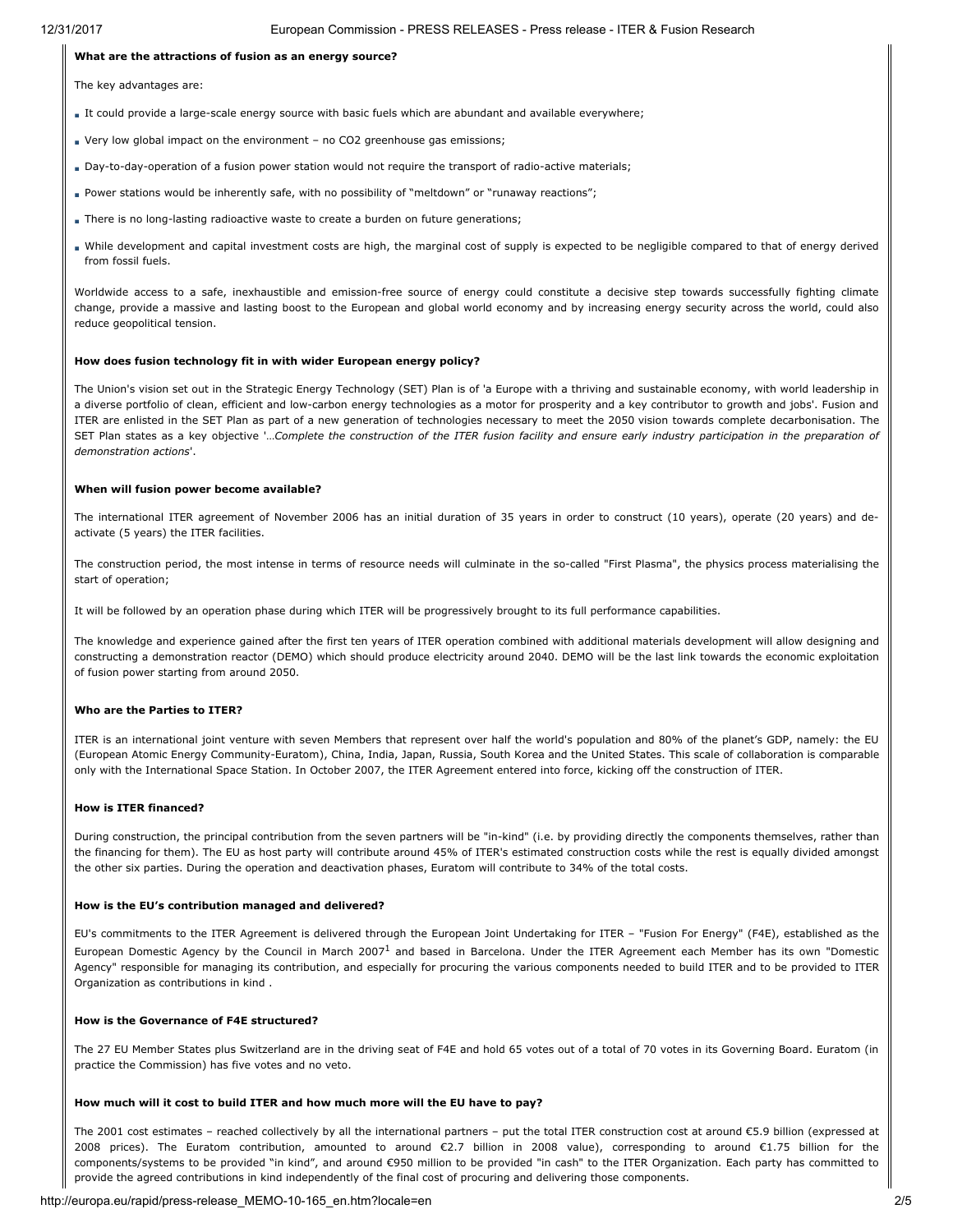### What are the attractions of fusion as an energy source?

The key advantages are:

- It could provide a large-scale energy source with basic fuels which are abundant and available everywhere;
- Very low global impact on the environment no CO2 greenhouse gas emissions;
- Day-to-day-operation of a fusion power station would not require the transport of radio-active materials;
- Power stations would be inherently safe, with no possibility of "meltdown" or "runaway reactions";
- There is no long-lasting radioactive waste to create a burden on future generations;
- While development and capital investment costs are high, the marginal cost of supply is expected to be negligible compared to that of energy derived from fossil fuels.

Worldwide access to a safe, inexhaustible and emission-free source of energy could constitute a decisive step towards successfully fighting climate change, provide a massive and lasting boost to the European and global world economy and by increasing energy security across the world, could also reduce geopolitical tension.

#### How does fusion technology fit in with wider European energy policy?

The Union's vision set out in the Strategic Energy Technology (SET) Plan is of 'a Europe with a thriving and sustainable economy, with world leadership in a diverse portfolio of clean, efficient and low-carbon energy technologies as a motor for prosperity and a key contributor to growth and jobs'. Fusion and ITER are enlisted in the SET Plan as part of a new generation of technologies necessary to meet the 2050 vision towards complete decarbonisation. The SET Plan states as a key objective '...Complete the construction of the ITER fusion facility and ensure early industry participation in the preparation of demonstration actions'.

#### When will fusion power become available?

The international ITER agreement of November 2006 has an initial duration of 35 years in order to construct (10 years), operate (20 years) and deactivate (5 years) the ITER facilities.

The construction period, the most intense in terms of resource needs will culminate in the so-called "First Plasma", the physics process materialising the start of operation;

It will be followed by an operation phase during which ITER will be progressively brought to its full performance capabilities.

The knowledge and experience gained after the first ten years of ITER operation combined with additional materials development will allow designing and constructing a demonstration reactor (DEMO) which should produce electricity around 2040. DEMO will be the last link towards the economic exploitation of fusion power starting from around 2050.

### Who are the Parties to ITER?

ITER is an international joint venture with seven Members that represent over half the world's population and 80% of the planet's GDP, namely: the EU (European Atomic Energy Community-Euratom), China, India, Japan, Russia, South Korea and the United States. This scale of collaboration is comparable only with the International Space Station. In October 2007, the ITER Agreement entered into force, kicking off the construction of ITER.

#### How is ITER financed?

During construction, the principal contribution from the seven partners will be "in-kind" (i.e. by providing directly the components themselves, rather than the financing for them). The EU as host party will contribute around 45% of ITER's estimated construction costs while the rest is equally divided amongst the other six parties. During the operation and deactivation phases, Euratom will contribute to 34% of the total costs.

# How is the EU's contribution managed and delivered?

EU's commitments to the ITER Agreement is delivered through the European Joint Undertaking for ITER – "Fusion For Energy" (F4E), established as the European Domestic Agency by the Council in March 2007<sup>[1](#page-4-0)</sup> and based in Barcelona. Under the ITER Agreement each Member has its own "Domestic Agency" responsible for managing its contribution, and especially for procuring the various components needed to build ITER and to be provided to ITER Organization as contributions in kind .

#### How is the Governance of F4E structured?

The 27 EU Member States plus Switzerland are in the driving seat of F4E and hold 65 votes out of a total of 70 votes in its Governing Board. Euratom (in practice the Commission) has five votes and no veto.

#### How much will it cost to build ITER and how much more will the EU have to pay?

The 2001 cost estimates – reached collectively by all the international partners – put the total ITER construction cost at around €5.9 billion (expressed at 2008 prices). The Euratom contribution, amounted to around €2.7 billion in 2008 value), corresponding to around €1.75 billion for the components/systems to be provided "in kind", and around €950 million to be provided "in cash" to the ITER Organization. Each party has committed to provide the agreed contributions in kind independently of the final cost of procuring and delivering those components.

# http://europa.eu/rapid/press-release\_MEMO-10-165\_en.htm?locale=en 2/5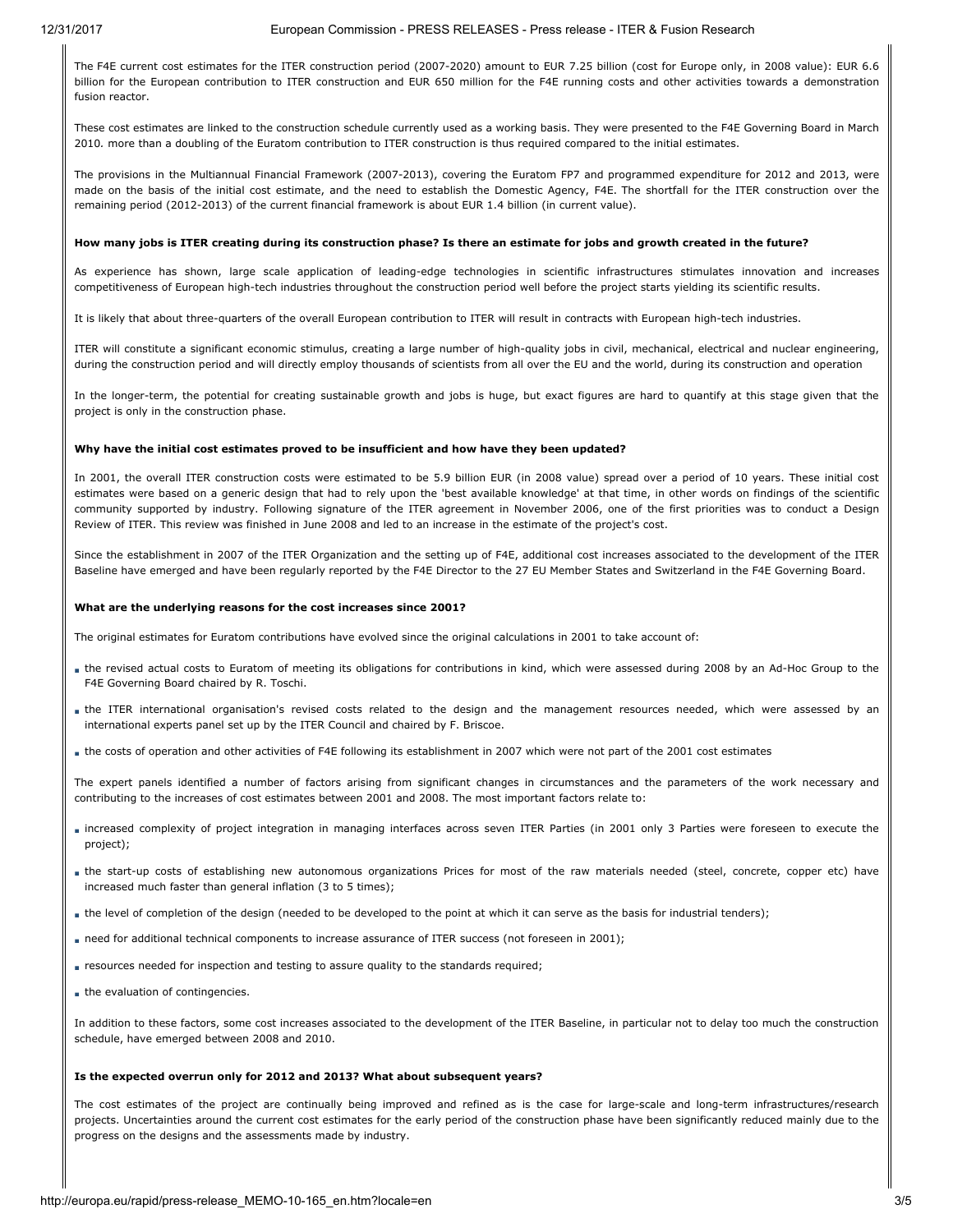### 12/31/2017 European Commission - PRESS RELEASES - Press release - ITER & Fusion Research

The F4E current cost estimates for the ITER construction period (2007-2020) amount to EUR 7.25 billion (cost for Europe only, in 2008 value): EUR 6.6 billion for the European contribution to ITER construction and EUR 650 million for the F4E running costs and other activities towards a demonstration fusion reactor.

These cost estimates are linked to the construction schedule currently used as a working basis. They were presented to the F4E Governing Board in March 2010. more than a doubling of the Euratom contribution to ITER construction is thus required compared to the initial estimates.

The provisions in the Multiannual Financial Framework (2007-2013), covering the Euratom FP7 and programmed expenditure for 2012 and 2013, were made on the basis of the initial cost estimate, and the need to establish the Domestic Agency, F4E. The shortfall for the ITER construction over the remaining period (2012-2013) of the current financial framework is about EUR 1.4 billion (in current value).

### How many jobs is ITER creating during its construction phase? Is there an estimate for jobs and growth created in the future?

As experience has shown, large scale application of leading-edge technologies in scientific infrastructures stimulates innovation and increases competitiveness of European high-tech industries throughout the construction period well before the project starts yielding its scientific results.

It is likely that about three-quarters of the overall European contribution to ITER will result in contracts with European high-tech industries.

ITER will constitute a significant economic stimulus, creating a large number of high-quality jobs in civil, mechanical, electrical and nuclear engineering, during the construction period and will directly employ thousands of scientists from all over the EU and the world, during its construction and operation

In the longer-term, the potential for creating sustainable growth and jobs is huge, but exact figures are hard to quantify at this stage given that the project is only in the construction phase.

#### Why have the initial cost estimates proved to be insufficient and how have they been updated?

In 2001, the overall ITER construction costs were estimated to be 5.9 billion EUR (in 2008 value) spread over a period of 10 years. These initial cost estimates were based on a generic design that had to rely upon the 'best available knowledge' at that time, in other words on findings of the scientific community supported by industry. Following signature of the ITER agreement in November 2006, one of the first priorities was to conduct a Design Review of ITER. This review was finished in June 2008 and led to an increase in the estimate of the project's cost.

Since the establishment in 2007 of the ITER Organization and the setting up of F4E, additional cost increases associated to the development of the ITER Baseline have emerged and have been regularly reported by the F4E Director to the 27 EU Member States and Switzerland in the F4E Governing Board.

#### What are the underlying reasons for the cost increases since 2001?

The original estimates for Euratom contributions have evolved since the original calculations in 2001 to take account of:

- the revised actual costs to Euratom of meeting its obligations for contributions in kind, which were assessed during 2008 by an Ad-Hoc Group to the F4E Governing Board chaired by R. Toschi.
- the ITER international organisation's revised costs related to the design and the management resources needed, which were assessed by an international experts panel set up by the ITER Council and chaired by F. Briscoe.
- the costs of operation and other activities of F4E following its establishment in 2007 which were not part of the 2001 cost estimates

The expert panels identified a number of factors arising from significant changes in circumstances and the parameters of the work necessary and contributing to the increases of cost estimates between 2001 and 2008. The most important factors relate to:

- increased complexity of project integration in managing interfaces across seven ITER Parties (in 2001 only 3 Parties were foreseen to execute the project);
- the start-up costs of establishing new autonomous organizations Prices for most of the raw materials needed (steel, concrete, copper etc) have increased much faster than general inflation (3 to 5 times);
- the level of completion of the design (needed to be developed to the point at which it can serve as the basis for industrial tenders);
- need for additional technical components to increase assurance of ITER success (not foreseen in 2001);
- resources needed for inspection and testing to assure quality to the standards required;
- the evaluation of contingencies.

In addition to these factors, some cost increases associated to the development of the ITER Baseline, in particular not to delay too much the construction schedule, have emerged between 2008 and 2010.

### Is the expected overrun only for 2012 and 2013? What about subsequent years?

The cost estimates of the project are continually being improved and refined as is the case for large-scale and long-term infrastructures/research projects. Uncertainties around the current cost estimates for the early period of the construction phase have been significantly reduced mainly due to the progress on the designs and the assessments made by industry.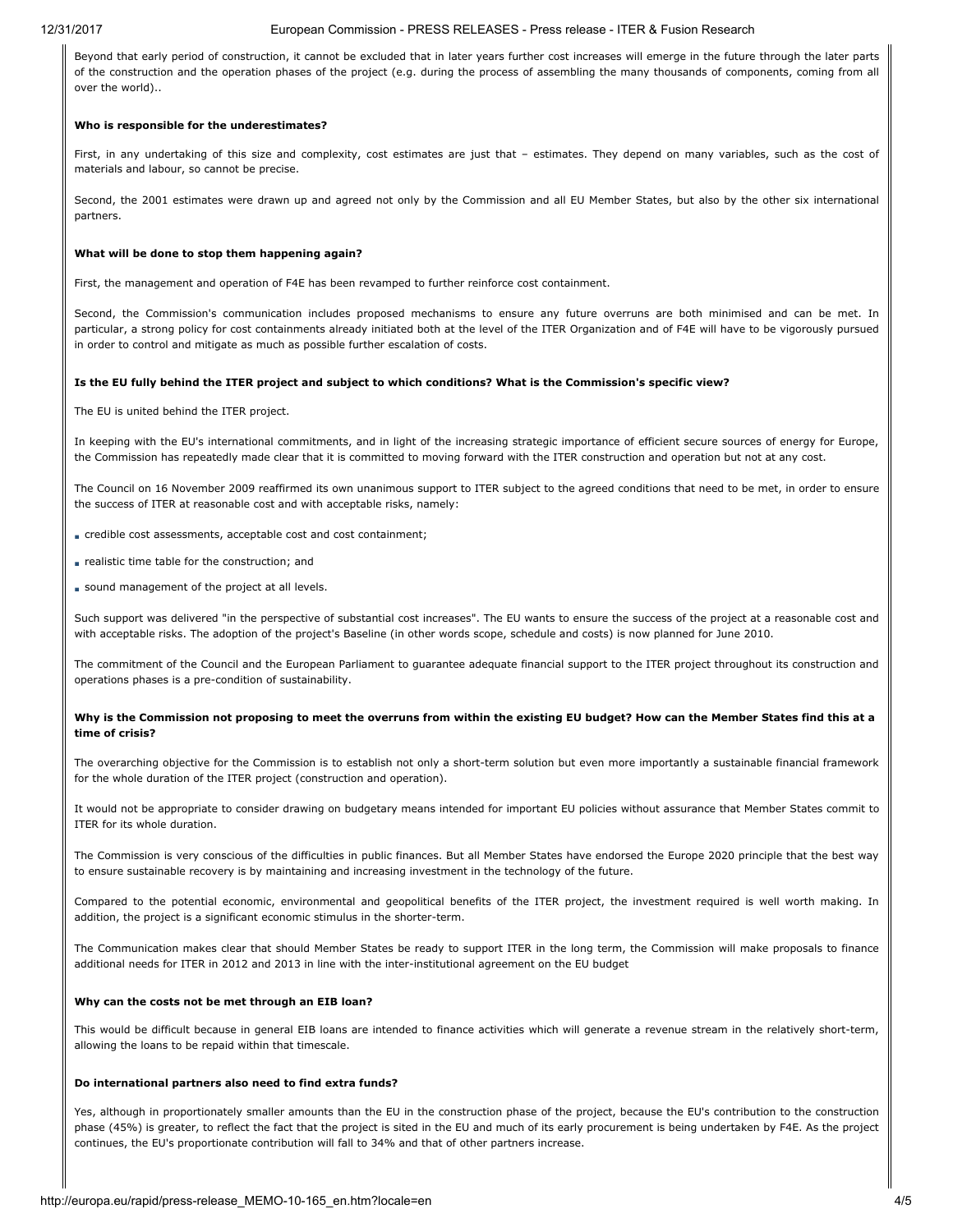#### 12/31/2017 European Commission - PRESS RELEASES - Press release - ITER & Fusion Research

Beyond that early period of construction, it cannot be excluded that in later years further cost increases will emerge in the future through the later parts of the construction and the operation phases of the project (e.g. during the process of assembling the many thousands of components, coming from all over the world)..

### Who is responsible for the underestimates?

First, in any undertaking of this size and complexity, cost estimates are just that – estimates. They depend on many variables, such as the cost of materials and labour, so cannot be precise.

Second, the 2001 estimates were drawn up and agreed not only by the Commission and all EU Member States, but also by the other six international partners.

### What will be done to stop them happening again?

First, the management and operation of F4E has been revamped to further reinforce cost containment.

Second, the Commission's communication includes proposed mechanisms to ensure any future overruns are both minimised and can be met. In particular, a strong policy for cost containments already initiated both at the level of the ITER Organization and of F4E will have to be vigorously pursued in order to control and mitigate as much as possible further escalation of costs.

### Is the EU fully behind the ITER project and subject to which conditions? What is the Commission's specific view?

The EU is united behind the ITER project.

In keeping with the EU's international commitments, and in light of the increasing strategic importance of efficient secure sources of energy for Europe, the Commission has repeatedly made clear that it is committed to moving forward with the ITER construction and operation but not at any cost.

The Council on 16 November 2009 reaffirmed its own unanimous support to ITER subject to the agreed conditions that need to be met, in order to ensure the success of ITER at reasonable cost and with acceptable risks, namely:

- credible cost assessments, acceptable cost and cost containment;
- realistic time table for the construction; and
- sound management of the project at all levels.

Such support was delivered "in the perspective of substantial cost increases". The EU wants to ensure the success of the project at a reasonable cost and with acceptable risks. The adoption of the project's Baseline (in other words scope, schedule and costs) is now planned for June 2010.

The commitment of the Council and the European Parliament to guarantee adequate financial support to the ITER project throughout its construction and operations phases is a pre-condition of sustainability.

### Why is the Commission not proposing to meet the overruns from within the existing EU budget? How can the Member States find this at a time of crisis?

The overarching objective for the Commission is to establish not only a short-term solution but even more importantly a sustainable financial framework for the whole duration of the ITER project (construction and operation).

It would not be appropriate to consider drawing on budgetary means intended for important EU policies without assurance that Member States commit to ITER for its whole duration.

The Commission is very conscious of the difficulties in public finances. But all Member States have endorsed the Europe 2020 principle that the best way to ensure sustainable recovery is by maintaining and increasing investment in the technology of the future.

Compared to the potential economic, environmental and geopolitical benefits of the ITER project, the investment required is well worth making. In addition, the project is a significant economic stimulus in the shorter-term.

The Communication makes clear that should Member States be ready to support ITER in the long term, the Commission will make proposals to finance additional needs for ITER in 2012 and 2013 in line with the inter-institutional agreement on the EU budget

### Why can the costs not be met through an EIB loan?

This would be difficult because in general EIB loans are intended to finance activities which will generate a revenue stream in the relatively short-term, allowing the loans to be repaid within that timescale.

### Do international partners also need to find extra funds?

Yes, although in proportionately smaller amounts than the EU in the construction phase of the project, because the EU's contribution to the construction phase (45%) is greater, to reflect the fact that the project is sited in the EU and much of its early procurement is being undertaken by F4E. As the project continues, the EU's proportionate contribution will fall to 34% and that of other partners increase.